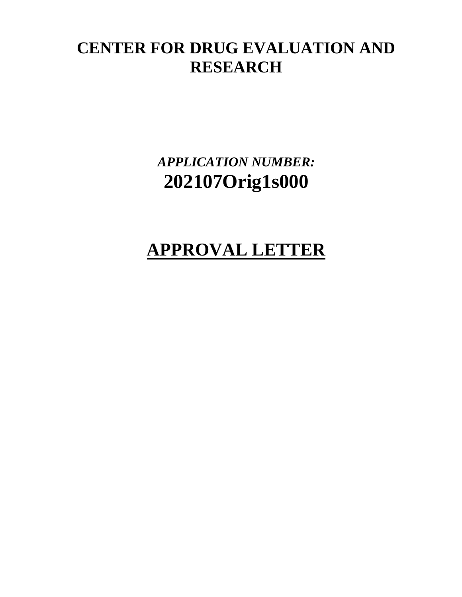# **CENTER FOR DRUG EVALUATION AND RESEARCH**

*APPLICATION NUMBER:* **202107Orig1s000**

# **APPROVAL LETTER**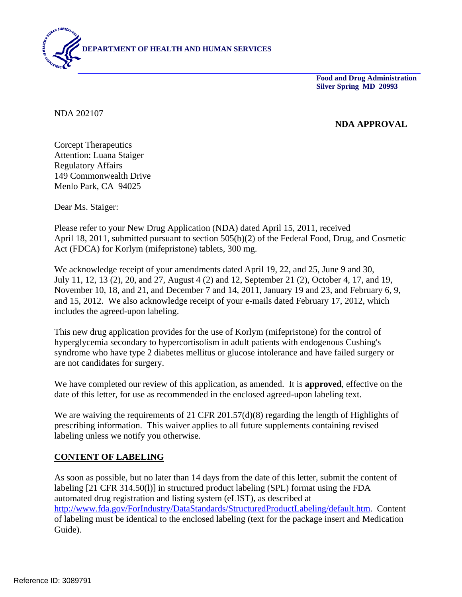

**Food and Drug Administration Silver Spring MD 20993**

NDA 202107

#### **NDA APPROVAL**

Corcept Therapeutics Attention: Luana Staiger Regulatory Affairs 149 Commonwealth Drive Menlo Park, CA 94025

Dear Ms. Staiger:

Please refer to your New Drug Application (NDA) dated April 15, 2011, received April 18, 2011, submitted pursuant to section 505(b)(2) of the Federal Food, Drug, and Cosmetic Act (FDCA) for Korlym (mifepristone) tablets, 300 mg.

We acknowledge receipt of your amendments dated April 19, 22, and 25, June 9 and 30, July 11, 12, 13 (2), 20, and 27, August 4 (2) and 12, September 21 (2), October 4, 17, and 19, November 10, 18, and 21, and December 7 and 14, 2011, January 19 and 23, and February 6, 9, and 15, 2012. We also acknowledge receipt of your e-mails dated February 17, 2012, which includes the agreed-upon labeling.

This new drug application provides for the use of Korlym (mifepristone) for the control of hyperglycemia secondary to hypercortisolism in adult patients with endogenous Cushing's syndrome who have type 2 diabetes mellitus or glucose intolerance and have failed surgery or are not candidates for surgery.

We have completed our review of this application, as amended. It is **approved**, effective on the date of this letter, for use as recommended in the enclosed agreed-upon labeling text.

We are waiving the requirements of 21 CFR 201.57(d)(8) regarding the length of Highlights of prescribing information. This waiver applies to all future supplements containing revised labeling unless we notify you otherwise.

#### **CONTENT OF LABELING**

As soon as possible, but no later than 14 days from the date of this letter, submit the content of labeling [21 CFR 314.50(l)] in structured product labeling (SPL) format using the FDA automated drug registration and listing system (eLIST), as described at http://www.fda.gov/ForIndustry/DataStandards/StructuredProductLabeling/default.htm. Content of labeling must be identical to the enclosed labeling (text for the package insert and Medication Guide).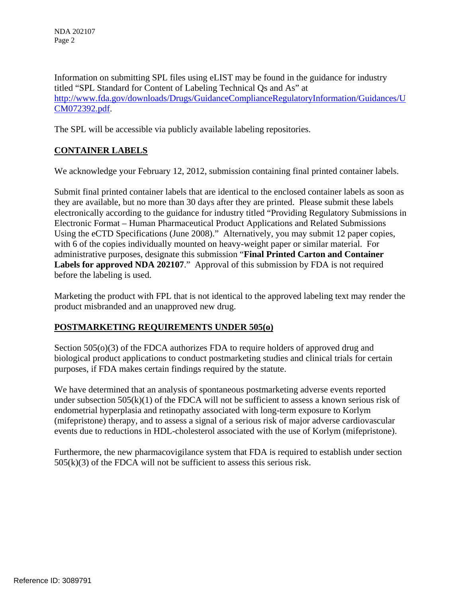Information on submitting SPL files using eLIST may be found in the guidance for industry titled "SPL Standard for Content of Labeling Technical Qs and As" at http://www.fda.gov/downloads/Drugs/GuidanceComplianceRegulatoryInformation/Guidances/U CM072392.pdf.

The SPL will be accessible via publicly available labeling repositories.

#### **CONTAINER LABELS**

We acknowledge your February 12, 2012, submission containing final printed container labels.

Submit final printed container labels that are identical to the enclosed container labels as soon as they are available, but no more than 30 days after they are printed. Please submit these labels electronically according to the guidance for industry titled "Providing Regulatory Submissions in Electronic Format – Human Pharmaceutical Product Applications and Related Submissions Using the eCTD Specifications (June 2008)." Alternatively, you may submit 12 paper copies, with 6 of the copies individually mounted on heavy-weight paper or similar material. For administrative purposes, designate this submission "**Final Printed Carton and Container Labels for approved NDA 202107**." Approval of this submission by FDA is not required before the labeling is used.

Marketing the product with FPL that is not identical to the approved labeling text may render the product misbranded and an unapproved new drug.

#### **POSTMARKETING REQUIREMENTS UNDER 505(o)**

Section 505(o)(3) of the FDCA authorizes FDA to require holders of approved drug and biological product applications to conduct postmarketing studies and clinical trials for certain purposes, if FDA makes certain findings required by the statute.

We have determined that an analysis of spontaneous postmarketing adverse events reported under subsection  $505(k)(1)$  of the FDCA will not be sufficient to assess a known serious risk of endometrial hyperplasia and retinopathy associated with long-term exposure to Korlym (mifepristone) therapy, and to assess a signal of a serious risk of major adverse cardiovascular events due to reductions in HDL-cholesterol associated with the use of Korlym (mifepristone).

Furthermore, the new pharmacovigilance system that FDA is required to establish under section  $505(k)(3)$  of the FDCA will not be sufficient to assess this serious risk.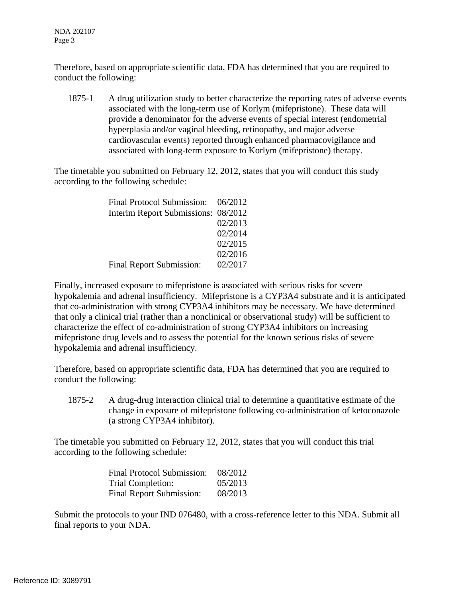NDA 202107 Page 3

Therefore, based on appropriate scientific data, FDA has determined that you are required to conduct the following:

1875-1 A drug utilization study to better characterize the reporting rates of adverse events associated with the long-term use of Korlym (mifepristone). These data will provide a denominator for the adverse events of special interest (endometrial hyperplasia and/or vaginal bleeding, retinopathy, and major adverse cardiovascular events) reported through enhanced pharmacovigilance and associated with long-term exposure to Korlym (mifepristone) therapy.

The timetable you submitted on February 12, 2012, states that you will conduct this study according to the following schedule:

| Final Protocol Submission: 06/2012  |         |
|-------------------------------------|---------|
| Interim Report Submissions: 08/2012 |         |
|                                     | 02/2013 |
|                                     | 02/2014 |
|                                     | 02/2015 |
|                                     | 02/2016 |
| Final Report Submission:            | 02/2017 |

Finally, increased exposure to mifepristone is associated with serious risks for severe hypokalemia and adrenal insufficiency. Mifepristone is a CYP3A4 substrate and it is anticipated that co-administration with strong CYP3A4 inhibitors may be necessary. We have determined that only a clinical trial (rather than a nonclinical or observational study) will be sufficient to characterize the effect of co-administration of strong CYP3A4 inhibitors on increasing mifepristone drug levels and to assess the potential for the known serious risks of severe hypokalemia and adrenal insufficiency.

Therefore, based on appropriate scientific data, FDA has determined that you are required to conduct the following:

1875-2 A drug-drug interaction clinical trial to determine a quantitative estimate of the change in exposure of mifepristone following co-administration of ketoconazole (a strong CYP3A4 inhibitor).

The timetable you submitted on February 12, 2012, states that you will conduct this trial according to the following schedule:

| <b>Final Protocol Submission:</b> | 08/2012 |
|-----------------------------------|---------|
| Trial Completion:                 | 05/2013 |
| <b>Final Report Submission:</b>   | 08/2013 |

Submit the protocols to your IND 076480, with a cross-reference letter to this NDA. Submit all final reports to your NDA.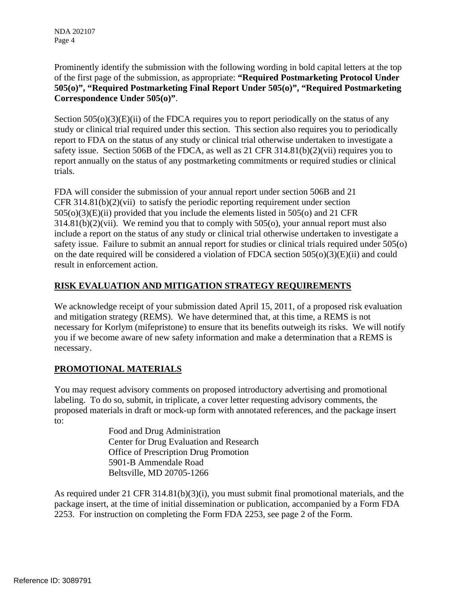Prominently identify the submission with the following wording in bold capital letters at the top of the first page of the submission, as appropriate: **"Required Postmarketing Protocol Under 505(o)", "Required Postmarketing Final Report Under 505(o)", "Required Postmarketing Correspondence Under 505(o)"**.

Section  $505(0)(3)(E)(ii)$  of the FDCA requires you to report periodically on the status of any study or clinical trial required under this section. This section also requires you to periodically report to FDA on the status of any study or clinical trial otherwise undertaken to investigate a safety issue. Section 506B of the FDCA, as well as 21 CFR 314.81(b)(2)(vii) requires you to report annually on the status of any postmarketing commitments or required studies or clinical trials.

FDA will consider the submission of your annual report under section 506B and 21 CFR 314.81(b)(2)(vii) to satisfy the periodic reporting requirement under section 505(o)(3)(E)(ii) provided that you include the elements listed in 505(o) and 21 CFR 314.81(b)(2)(vii). We remind you that to comply with 505(o), your annual report must also include a report on the status of any study or clinical trial otherwise undertaken to investigate a safety issue. Failure to submit an annual report for studies or clinical trials required under 505(o) on the date required will be considered a violation of FDCA section 505(o)(3)(E)(ii) and could result in enforcement action.

#### **RISK EVALUATION AND MITIGATION STRATEGY REQUIREMENTS**

We acknowledge receipt of your submission dated April 15, 2011, of a proposed risk evaluation and mitigation strategy (REMS). We have determined that, at this time, a REMS is not necessary for Korlym (mifepristone) to ensure that its benefits outweigh its risks. We will notify you if we become aware of new safety information and make a determination that a REMS is necessary.

### **PROMOTIONAL MATERIALS**

You may request advisory comments on proposed introductory advertising and promotional labeling. To do so, submit, in triplicate, a cover letter requesting advisory comments, the proposed materials in draft or mock-up form with annotated references, and the package insert to:

> Food and Drug Administration Center for Drug Evaluation and Research Office of Prescription Drug Promotion 5901-B Ammendale Road Beltsville, MD 20705-1266

As required under 21 CFR 314.81(b)(3)(i), you must submit final promotional materials, and the package insert, at the time of initial dissemination or publication, accompanied by a Form FDA 2253. For instruction on completing the Form FDA 2253, see page 2 of the Form.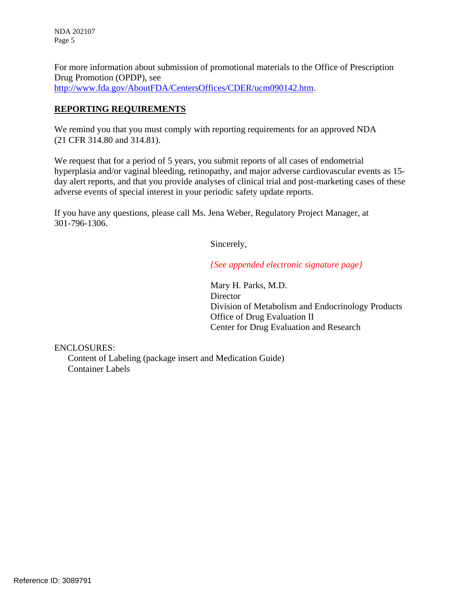NDA 202107 Page 5

For more information about submission of promotional materials to the Office of Prescription Drug Promotion (OPDP), see http://www.fda.gov/AboutFDA/CentersOffices/CDER/ucm090142.htm.

#### **REPORTING REQUIREMENTS**

We remind you that you must comply with reporting requirements for an approved NDA (21 CFR 314.80 and 314.81).

We request that for a period of 5 years, you submit reports of all cases of endometrial hyperplasia and/or vaginal bleeding, retinopathy, and major adverse cardiovascular events as 15 day alert reports, and that you provide analyses of clinical trial and post-marketing cases of these adverse events of special interest in your periodic safety update reports.

If you have any questions, please call Ms. Jena Weber, Regulatory Project Manager, at 301-796-1306.

Sincerely,

*{See appended electronic signature page}*

Mary H. Parks, M.D. **Director** Division of Metabolism and Endocrinology Products Office of Drug Evaluation II Center for Drug Evaluation and Research

ENCLOSURES:

Content of Labeling (package insert and Medication Guide) Container Labels